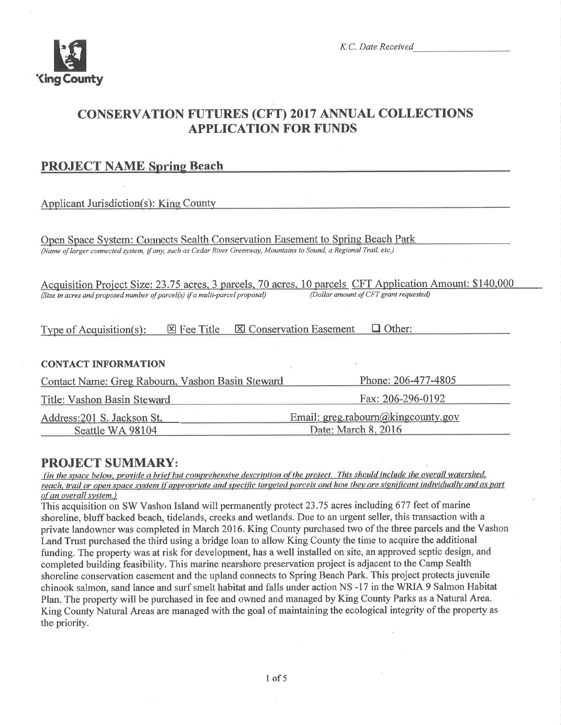

# **CONSERVATION FUTURES (CFT) 2017 ANNUAL COLLECTIONS APPLICATION FOR FUNDS**

| <b>PROJECT NAME Spring Beach</b>                                                                                    |                                                 |  |  |
|---------------------------------------------------------------------------------------------------------------------|-------------------------------------------------|--|--|
|                                                                                                                     |                                                 |  |  |
| <b>Applicant Jurisdiction(s): King County</b>                                                                       |                                                 |  |  |
|                                                                                                                     |                                                 |  |  |
| Open Space System: Connects Sealth Conservation Easement to Spring Beach Park                                       |                                                 |  |  |
| (Name of larger connected system, if any, such as Cedar River Greenway, Mountains to Sound, a Regional Trail, etc.) |                                                 |  |  |
|                                                                                                                     |                                                 |  |  |
| Acquisition Project Size: 23.75 acres, 3 parcels, 70 acres, 10 parcels CFT Application Amount: \$140,000            |                                                 |  |  |
| (Size in acres and proposed number of parcel(s) if a multi-parcel proposal)                                         | (Dollar amount of CFT grant requested)          |  |  |
|                                                                                                                     |                                                 |  |  |
| $\boxtimes$ Fee Title<br>Type of Acquisition(s):                                                                    | <b>X</b> Conservation Easement<br>$\Box$ Other: |  |  |
|                                                                                                                     |                                                 |  |  |
| <b>CONTACT INFORMATION</b>                                                                                          |                                                 |  |  |
|                                                                                                                     |                                                 |  |  |
| Contact Name: Greg Rabourn, Vashon Basin Steward                                                                    | Phone: 206-477-4805                             |  |  |
| Title: Vashon Basin Steward                                                                                         | Fax: 206-296-0192                               |  |  |
| Address: 201 S. Jackson St.                                                                                         | Email: $greg_rabourn@kingcounty.gov$            |  |  |
| Seattle WA 98104                                                                                                    | Date: March 8, 2016                             |  |  |

# **PROJECT SUMMARY:**

(In the space below, provide a brief but comprehensive description of the project. This should include the overall watershed, reach, trail or open space system if appropriate and specific targeted parcels and how they are significant individually and as part of an overall system.)

This acquisition on SW Vashon Island will permanently protect 23.75 acres including 677 feet of marine shoreline, bluff backed beach, tidelands, creeks and wetlands. Due to an urgent seller, this transaction with a private landowner was completed in March 2016. King County purchased two of the three parcels and the Vashon Land Trust purchased the third using a bridge loan to allow King County the time to acquire the additional funding. The property was at risk for development, has a well installed on site, an approved septic design, and completed building feasibility. This marine nearshore preservation project is adjacent to the Camp Sealth shoreline conservation easement and the upland connects to Spring Beach Park. This project protects iuvenile chinook salmon, sand lance and surf smelt habitat and falls under action NS -17 in the WRIA 9 Salmon Habitat Plan. The property will be purchased in fee and owned and managed by King County Parks as a Natural Area. King County Natural Areas are managed with the goal of maintaining the ecological integrity of the property as the priority.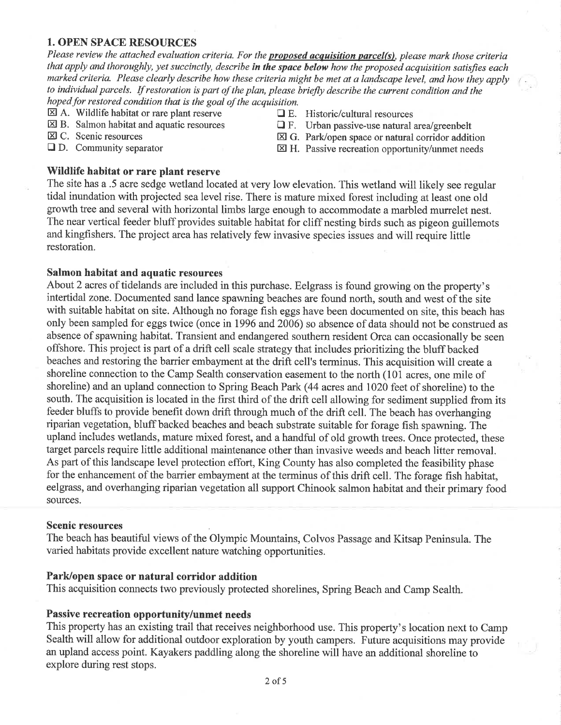### 1. OPEN SPACE RESOURCES

Please review the attached evaluation criteria. For the **proposed acquisition parcel(s)**, please mark those criteria that apply and thoroughly, yet succinctly, describe in the space below how the proposed acquisition satisfies each marked criteria. Please clearly describe how these criteria might be met at a landscape level, and how they apply to individual parcels. If restoration is part of the plan, please briefly describe the current condition and the hoped for restored condition that is the goal of the acquisition.

- 
- $\boxtimes$  A. Wildlife habitat or rare plant reserve  $\Box$  E. Historic/cultural resources  $\Box$  E. Urban passive-use natural  $\Box$  F. Urban passive-use natural  $\boxtimes$  B. Salmon habitat and aquatic resources  $\Box$  F. Urban passive-use natural area/greenbelt  $\boxtimes$  C. Scenic resources  $\boxtimes$  G. Park/open space or natural corridor additional
- -
- 
- $\boxtimes$  C. Scenic resources<br>  $\boxtimes$  G. Park/open space or natural corridor addition<br>  $\boxtimes$  D. Community separator<br>  $\boxtimes$  H. Passive recreation opportunity/unmet needs
	- $\boxtimes$  H. Passive recreation opportunity/unmet needs

#### Wildlife habitat or rare plant reserve

The site has a .5 acre sedge wetland located at very low elevation. This wetland will tikely see regular tidal inundation with projected sea level rise. There is mature mixed forest including at least one old growth tree and several with horizontal limbs large enough to accommodate a marbled murrelet nest. The near vertical feeder bluff provides suitable habitat for cliff nesting birds such as pigeon guillemots and kingfishers. The project area has relatively few invasive species issues and will require little restoration.

#### Salmon habitat and aquatic resources

About 2 acres of tidelands are included in this purchase. Eelgrass is found growing on the property's intertidal zone. Documented sand lance spawning beaches are found north, south and west of the site with suitable habitat on site. Although no forage fish eggs have been documented on site, this beach has only been sampled for eggs twice (once in 1996 and 2006) so absence of data should not be construed as absence of spawning habitat. Transient and endangered southern resident Orca can occasionally be seen offshore. This project is part of a drift cell scale strategy that includes prioritizing the bluff backed beaches and restoring the barrier embayment at the drift cell's terminus. This acquisition will create a shoreline connection to the Camp Sealth conservation easement to the north (101 acres, one mile of shoreline) and an upland connection to Spring Beach Park (44 acres and 1020 feet of shoreline) to the south. The acquisition is located in the first third of the drift cell allowing for sediment supplied from its feeder blufß to provide benefit down drift through much of the drift cell. The beach has overhanging riparian vegetation, bluff backed beaches and beach substrate suitable for forage fish spawning. The upland includes wetlands, mature mixed forest, and a handful of old growth trees. Once protected, these target parcels require little additional maintenance other than invasive weeds and beach litter removal. As part of this landscape level protection effort, King County has also completed the feasibility phase for the enhancement of the barrier embayment at the terminus of this drift cell. The forage fish habitat, eelgrass, and overhanging riparian vegetation all support Chinook salmon habitat and their primary food sources.

#### Scenic resources

The beach has beautiful views of the Olympic Mountains, Colvos Passage and Kitsap Peninsula. The varied habitats provide excellent nature watching opportunities.

#### Park/open space or natural corridor addition

This acquisition connects two previously protected shorelines, Spring Beach and Camp Sealth.

#### Passive recreation opportunity/unmet needs

This property has an existing trail that receives neighborhood use. This property's location next to Camp Sealth will allow for additional outdoor exploration by youth campers. Future acquisitions may provide an upland access point. Kayakers paddling along the shoreline will have an additional shoreline to explore during rest stops.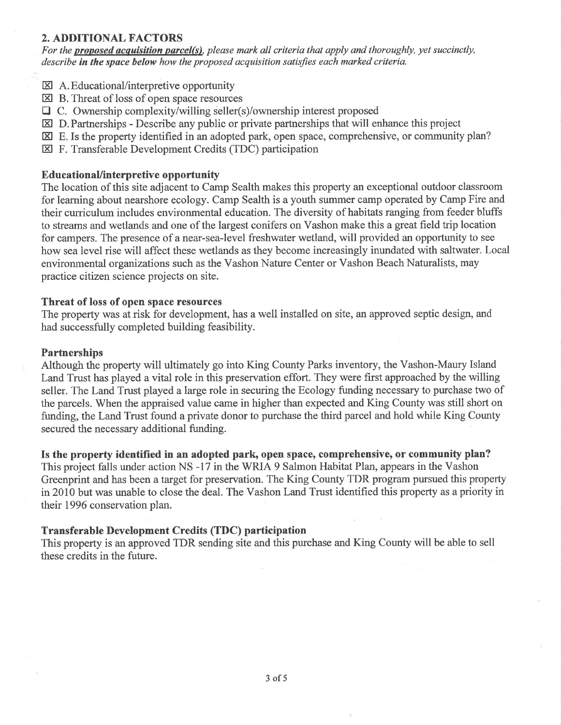## 2. ADDITIONAL FACTORS

For the **proposed acquisition parcel(s)**, please mark all criteria that apply and thoroughly, yet succinctly, describe in the space below how the proposed acquisition satisfies each marked criteria.

- $\boxtimes$  A. Educational/interpretive opportunity
- $\boxtimes$  B. Threat of loss of open space resources
- $\Box$  C. Ownership complexity/willing seller(s)/ownership interest proposed
- $\boxtimes$  D. Partnerships Describe any public or private partnerships that will enhance this project
- $\boxtimes$  E. Is the property identified in an adopted park, open space, comprehensive, or community plan?
- El F. Transferable Development Credits (TDC) participation

## EducationaUinterpretive opportunity

The location of this site adjacent to Camp Sealth makes this property an exceptional outdoor classroom for learning about nearshore ecology. Camp Sealth is a youth summer camp operated by Camp Fire and their curriculum includes environmental education. The diversity of habitats ranging from feeder bluffs to streams and wetlands and one of the largest conifers on Vashon make this a great field trip location for campers. The presence of a near-sea-level freshwater wetland, will provided an opportunity to see how sea level rise will affect these wetlands as they become increasingly inundated with saltwater. Local environmental organizations such as the Vashon Nature Center or Vashon Beach Naturalists, may practice cítizen science projects on site.

## Threat of loss of open space resources

The property was at risk for development, has a well installed on site, an approved septic design, and had successfully completed building feasibility.

## **Partnerships**

Although the property will ultimately go into King County Parks inventory, the Vashon-Maury Island Land Trust has played a vital role in this preservation effort. They were first approached by the willing seller. The Land Trust played a large role in securing the Ecology funding necessary to purchase two of the parcels. When the appraised value came in higher than expected and King County was still short on funding, the Land Trust found a private donor to purchase the third parcel and hold while King County secured the necessary additional funding.

Is the property identified in an adopted park, open space, comprehensive, or community plan?

This project falls under action NS -17 in the WRIA 9 Salmon Habitat Plan, appears in the Vashon Greenprint and has been a target for preservation. The King County TDR program pursued this property in 2010 but was unable to close the deal. The Vashon Land Trust identified this property as a priority in their 1996 conservation plan.

## Transferable Development Credits (TDC) participation

This property is an approved TDR sending site and this purchase and King County will be able to sell these credits in the future.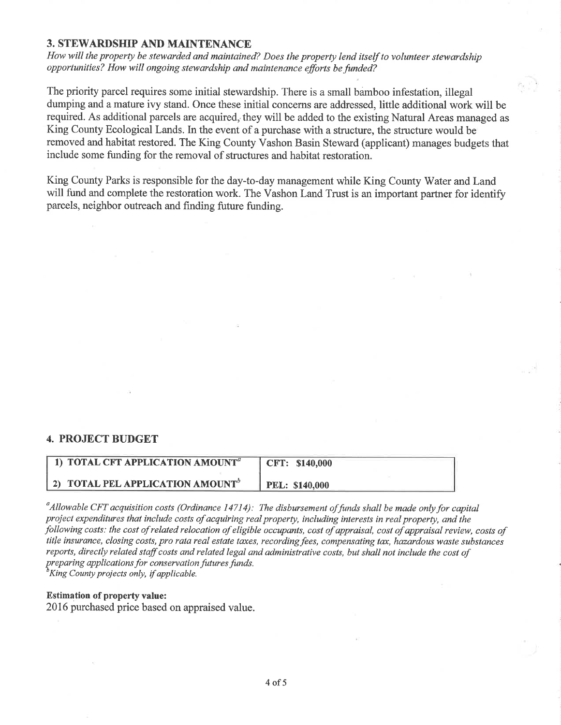## 3. STEWARDSHIP AND MAINTENANCE

How will the property be stewarded and maintained? Does the property lend itself to volunteer stewardship opportunities? How will ongoing stewardship and maintenance efforts be funded?

The priority parcel requires some initial stewardship. There is a small bamboo infestation, illegal dumping and a mature ivy stand. Once these initial concerns are addressed, little additional work will be required. As additional parcels are acquired, they will be added to the existing Natural Areas managed as King County Ecological Lands. In the event of a purchase with a structure, the structure would be removed and habitat restored. The King County Vashon Basin Steward (appticant) manages budgets that include some funding for the removal of structures and habitat restoration.

King County Parks is responsible for the day-to-day management while King County Water and Land will fund and complete the restoration work. The Vashon Land Trust is an important partner for identify parcels, neighbor outreach and finding future funding.

## 4. PROJECT BUDGET

| 1) TOTAL CFT APPLICATION AMOUNT <sup>a</sup> | CFT: \$140,000        |
|----------------------------------------------|-----------------------|
| 2) TOTAL PEL APPLICATION AMOUNT <sup>6</sup> | <b>PEL: \$140,000</b> |

<sup>a</sup>Allowable CFT acquisition costs (Ordinance 14714): The disbursement of funds shall be made only for capital proiect expenditures that include costs of acquiring real property, including interests in real property, and the following costs: the cost of related relocation of eligible occupants, cost of appraisal, cost of appraisal review, costs of title insurance, closing costs, pro rata real estate taxes, recording fees, compensating tax, hazardous waste substances reports, directly related staff costs and related legal and administrative costs, but shall not include the cost of preparing applications for conservation futures funds.<br><sup>b</sup>King County projects only, if applicable.

#### Estimation of property value:

2016 purchased price based on appraised value.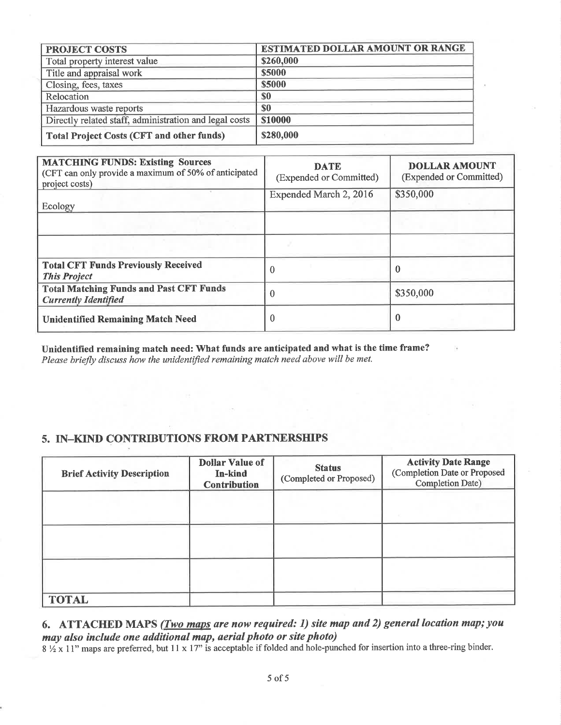| <b>PROJECT COSTS</b>                                   | <b>ESTIMATED DOLLAR AMOUNT OR RANGE</b> |
|--------------------------------------------------------|-----------------------------------------|
| Total property interest value                          | \$260,000                               |
| Title and appraisal work                               | \$5000                                  |
| Closing, fees, taxes                                   | \$5000                                  |
| Relocation                                             | \$0                                     |
| Hazardous waste reports                                | <b>SO</b>                               |
| Directly related staff, administration and legal costs | <b>\$10000</b>                          |
| Total Project Costs (CFT and other funds)              | \$280,000                               |

| <b>MATCHING FUNDS: Existing Sources</b><br>(CFT can only provide a maximum of 50% of anticipated<br>project costs) | <b>DATE</b><br>(Expended or Committed)<br>Expended March 2, 2016 | <b>DOLLAR AMOUNT</b><br>(Expended or Committed)<br>\$350,000 |
|--------------------------------------------------------------------------------------------------------------------|------------------------------------------------------------------|--------------------------------------------------------------|
| Ecology                                                                                                            |                                                                  |                                                              |
|                                                                                                                    |                                                                  |                                                              |
| <b>Total CFT Funds Previously Received</b><br><b>This Project</b>                                                  | $\Omega$                                                         |                                                              |
| <b>Total Matching Funds and Past CFT Funds</b><br><b>Currently Identified</b>                                      | 0                                                                | \$350,000                                                    |
| <b>Unidentified Remaining Match Need</b>                                                                           |                                                                  | 0                                                            |

Unidentified remaining match need: What funds are anticipated and what is the time frame? Please briefly discuss how the unidentified remaining match need above will be met.

## 5. IN-KIND CONTRIBUTIONS FROM PARTNERSHIPS

| <b>Brief Activity Description</b> | <b>Dollar Value of</b><br>In-kind<br><b>Contribution</b> | <b>Status</b><br>(Completed or Proposed) | <b>Activity Date Range</b><br>(Completion Date or Proposed<br>Completion Date) |
|-----------------------------------|----------------------------------------------------------|------------------------------------------|--------------------------------------------------------------------------------|
|                                   |                                                          |                                          |                                                                                |
|                                   |                                                          |                                          |                                                                                |
|                                   |                                                          |                                          |                                                                                |
| <b>TOTAL</b>                      |                                                          |                                          |                                                                                |

# 6. ATTACHED MAPS (*Two maps are now required: 1) site map and 2) general location map; you* may also include one additional map, aerial photo or site photo)

 $\frac{1}{2}$   $\frac{1}{2}$   $\frac{1}{2}$   $\frac{1}{2}$   $\frac{1}{2}$   $\frac{1}{2}$   $\frac{1}{2}$   $\frac{1}{2}$   $\frac{1}{2}$   $\frac{1}{2}$   $\frac{1}{2}$   $\frac{1}{2}$   $\frac{1}{2}$   $\frac{1}{2}$   $\frac{1}{2}$   $\frac{1}{2}$   $\frac{1}{2}$   $\frac{1}{2}$   $\frac{1}{2}$   $\frac{1}{2}$   $\frac{1}{2}$   $\frac{1}{2}$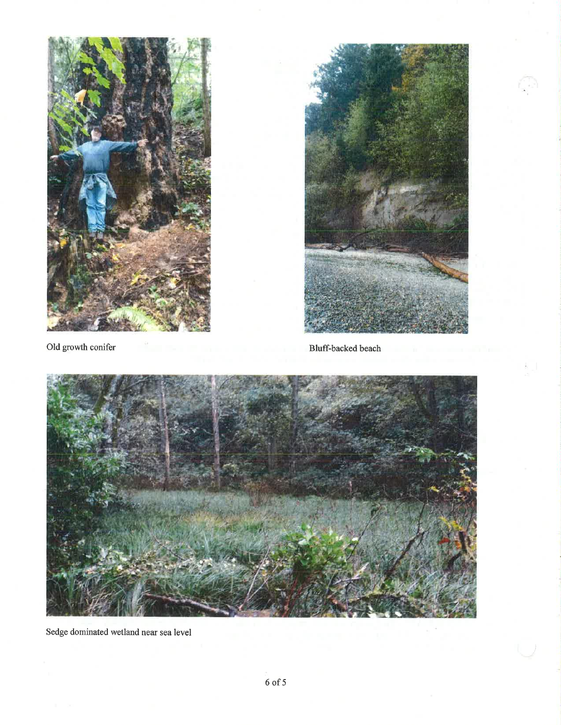



Old growth conifer Bluff-backed beach



Sedge dominated wetland near sea level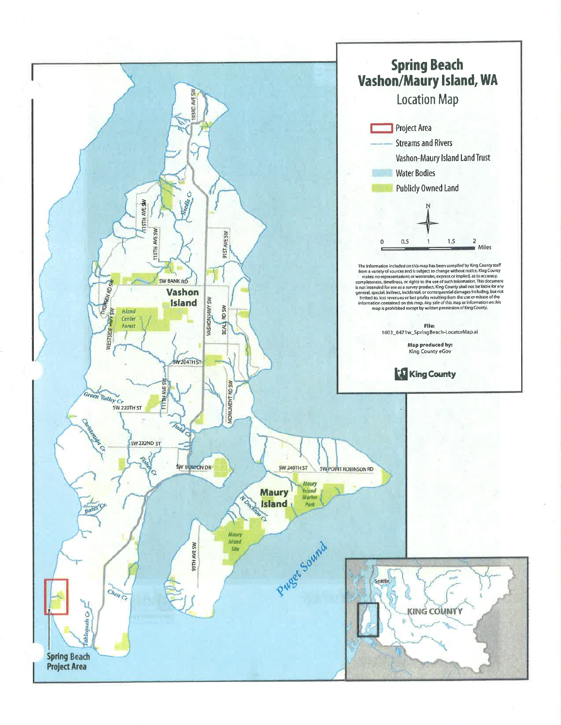